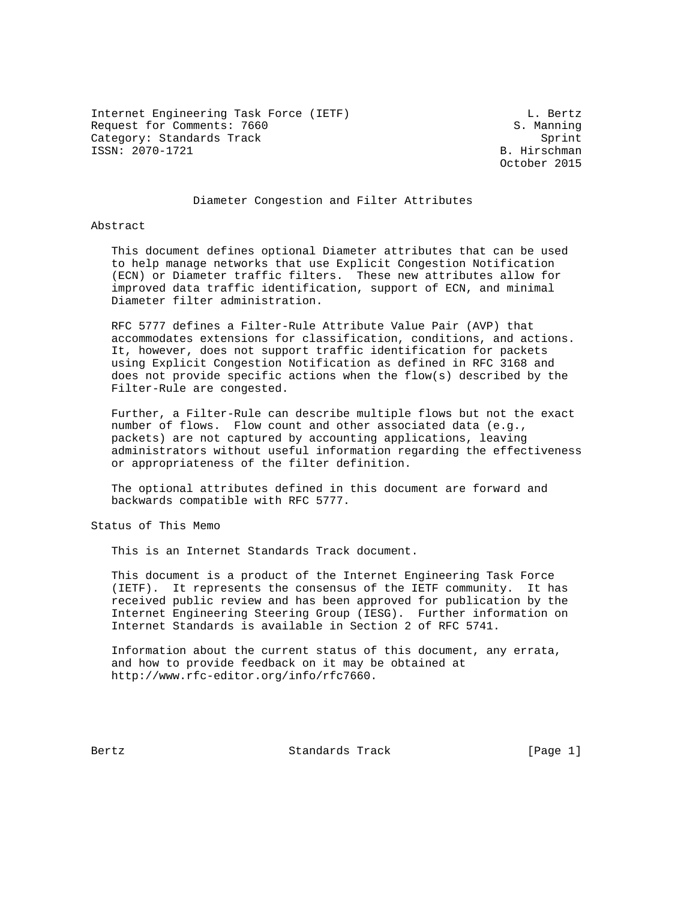Internet Engineering Task Force (IETF) and the contract of the Bertz Request for Comments: 7660 S. Manning Category: Standards Track Sprint Sprint Sprint Sprint Sprint Sprint Sprint Sprint Sprint Sprint Sprint Sprint Sprint Sprint Sprint Sprint Sprint Sprint Sprint Sprint Sprint Sprint Sprint Sprint Sprint Sprint Sprint Sprint ISSN: 2070-1721

October 2015

## Diameter Congestion and Filter Attributes

Abstract

 This document defines optional Diameter attributes that can be used to help manage networks that use Explicit Congestion Notification (ECN) or Diameter traffic filters. These new attributes allow for improved data traffic identification, support of ECN, and minimal Diameter filter administration.

 RFC 5777 defines a Filter-Rule Attribute Value Pair (AVP) that accommodates extensions for classification, conditions, and actions. It, however, does not support traffic identification for packets using Explicit Congestion Notification as defined in RFC 3168 and does not provide specific actions when the flow(s) described by the Filter-Rule are congested.

 Further, a Filter-Rule can describe multiple flows but not the exact number of flows. Flow count and other associated data (e.g., packets) are not captured by accounting applications, leaving administrators without useful information regarding the effectiveness or appropriateness of the filter definition.

 The optional attributes defined in this document are forward and backwards compatible with RFC 5777.

Status of This Memo

This is an Internet Standards Track document.

 This document is a product of the Internet Engineering Task Force (IETF). It represents the consensus of the IETF community. It has received public review and has been approved for publication by the Internet Engineering Steering Group (IESG). Further information on Internet Standards is available in Section 2 of RFC 5741.

 Information about the current status of this document, any errata, and how to provide feedback on it may be obtained at http://www.rfc-editor.org/info/rfc7660.

Bertz Standards Track [Page 1]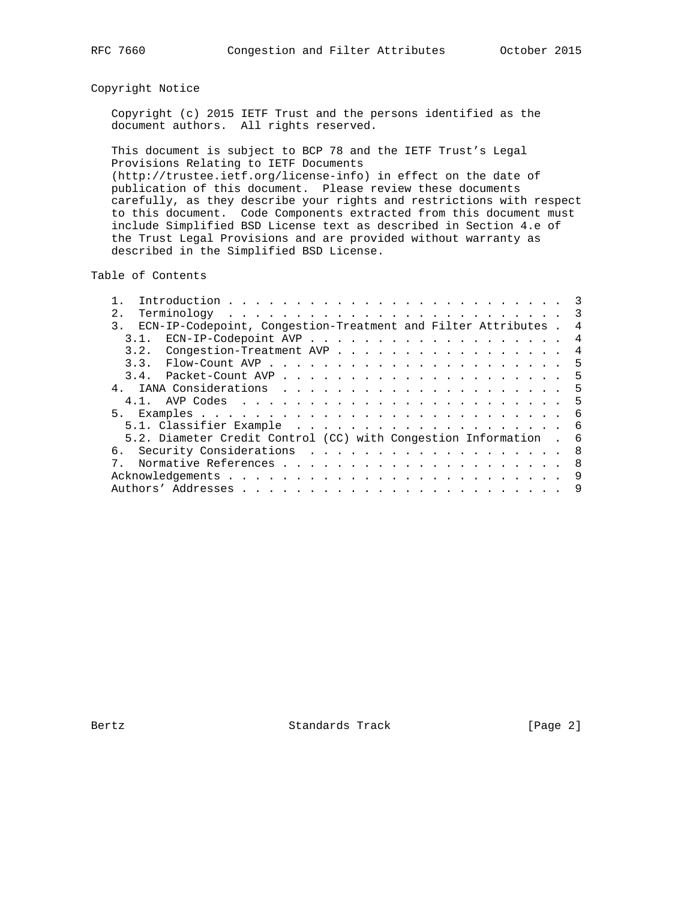# Copyright Notice

 Copyright (c) 2015 IETF Trust and the persons identified as the document authors. All rights reserved.

 This document is subject to BCP 78 and the IETF Trust's Legal Provisions Relating to IETF Documents (http://trustee.ietf.org/license-info) in effect on the date of publication of this document. Please review these documents carefully, as they describe your rights and restrictions with respect to this document. Code Components extracted from this document must include Simplified BSD License text as described in Section 4.e of the Trust Legal Provisions and are provided without warranty as described in the Simplified BSD License.

Table of Contents

| 2.1                                                                             |   |
|---------------------------------------------------------------------------------|---|
| ECN-IP-Codepoint, Congestion-Treatment and Filter Attributes.<br>3 <sub>1</sub> | 4 |
| ECN-IP-Codepoint AVP 4<br>3.1.                                                  |   |
| 3.2. Congestion-Treatment AVP 4                                                 |   |
|                                                                                 |   |
|                                                                                 |   |
|                                                                                 |   |
|                                                                                 |   |
| 5.                                                                              |   |
|                                                                                 |   |
| 5.2. Diameter Credit Control (CC) with Congestion Information . 6               |   |
| 6. Security Considerations 8                                                    |   |
|                                                                                 |   |
|                                                                                 |   |
|                                                                                 | 9 |

Bertz Standards Track [Page 2]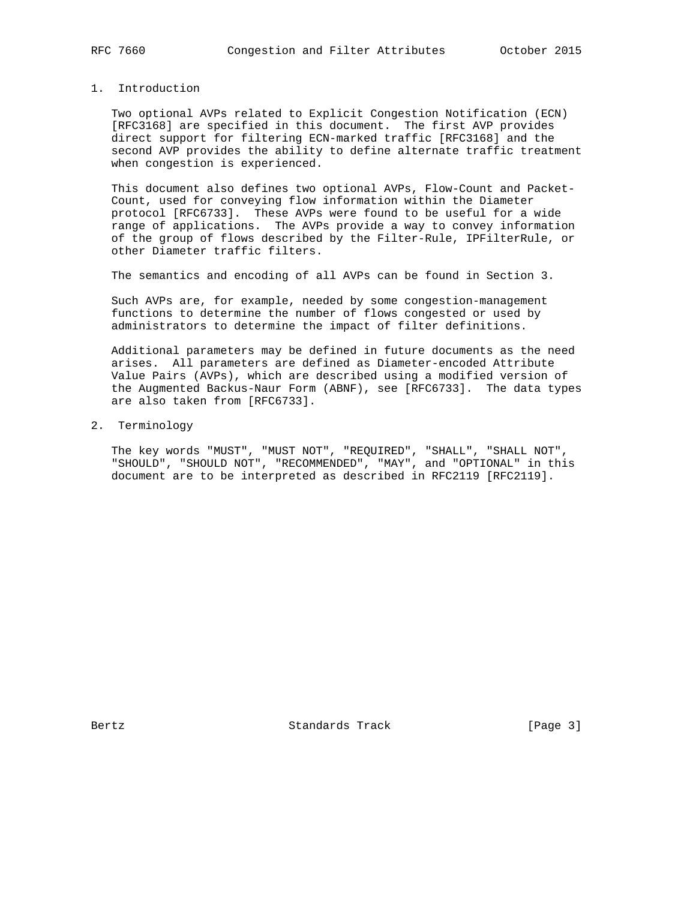# 1. Introduction

 Two optional AVPs related to Explicit Congestion Notification (ECN) [RFC3168] are specified in this document. The first AVP provides direct support for filtering ECN-marked traffic [RFC3168] and the second AVP provides the ability to define alternate traffic treatment when congestion is experienced.

 This document also defines two optional AVPs, Flow-Count and Packet- Count, used for conveying flow information within the Diameter protocol [RFC6733]. These AVPs were found to be useful for a wide range of applications. The AVPs provide a way to convey information of the group of flows described by the Filter-Rule, IPFilterRule, or other Diameter traffic filters.

The semantics and encoding of all AVPs can be found in Section 3.

 Such AVPs are, for example, needed by some congestion-management functions to determine the number of flows congested or used by administrators to determine the impact of filter definitions.

 Additional parameters may be defined in future documents as the need arises. All parameters are defined as Diameter-encoded Attribute Value Pairs (AVPs), which are described using a modified version of the Augmented Backus-Naur Form (ABNF), see [RFC6733]. The data types are also taken from [RFC6733].

### 2. Terminology

 The key words "MUST", "MUST NOT", "REQUIRED", "SHALL", "SHALL NOT", "SHOULD", "SHOULD NOT", "RECOMMENDED", "MAY", and "OPTIONAL" in this document are to be interpreted as described in RFC2119 [RFC2119].

Bertz Standards Track [Page 3]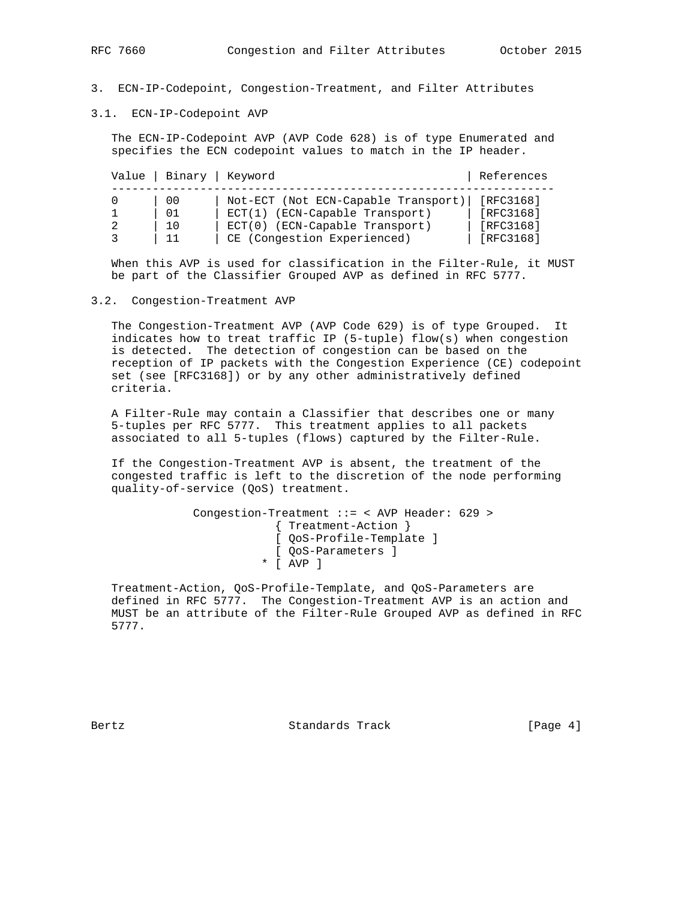- 3. ECN-IP-Codepoint, Congestion-Treatment, and Filter Attributes
- 3.1. ECN-IP-Codepoint AVP

 The ECN-IP-Codepoint AVP (AVP Code 628) is of type Enumerated and specifies the ECN codepoint values to match in the IP header.

| Value   Binary   Keyword |                                                                                                                                            | References                                       |
|--------------------------|--------------------------------------------------------------------------------------------------------------------------------------------|--------------------------------------------------|
| 00<br>01<br>10           | Not-ECT (Not ECN-Capable Transport)<br>$ECT(1)$ (ECN-Capable Transport)<br>$ECT(0)$ (ECN-Capable Transport)<br>CE (Congestion Experienced) | [RFC3168]<br>[RFC3168]<br>[RFC3168]<br>[RFC3168] |

 When this AVP is used for classification in the Filter-Rule, it MUST be part of the Classifier Grouped AVP as defined in RFC 5777.

3.2. Congestion-Treatment AVP

 The Congestion-Treatment AVP (AVP Code 629) is of type Grouped. It indicates how to treat traffic IP (5-tuple) flow(s) when congestion is detected. The detection of congestion can be based on the reception of IP packets with the Congestion Experience (CE) codepoint set (see [RFC3168]) or by any other administratively defined criteria.

 A Filter-Rule may contain a Classifier that describes one or many 5-tuples per RFC 5777. This treatment applies to all packets associated to all 5-tuples (flows) captured by the Filter-Rule.

 If the Congestion-Treatment AVP is absent, the treatment of the congested traffic is left to the discretion of the node performing quality-of-service (QoS) treatment.

```
 Congestion-Treatment ::= < AVP Header: 629 >
                   { Treatment-Action }
                   [ QoS-Profile-Template ]
[ QoS-Parameters ]
* [ AVP ]
```
 Treatment-Action, QoS-Profile-Template, and QoS-Parameters are defined in RFC 5777. The Congestion-Treatment AVP is an action and MUST be an attribute of the Filter-Rule Grouped AVP as defined in RFC 5777.

Bertz Standards Track [Page 4]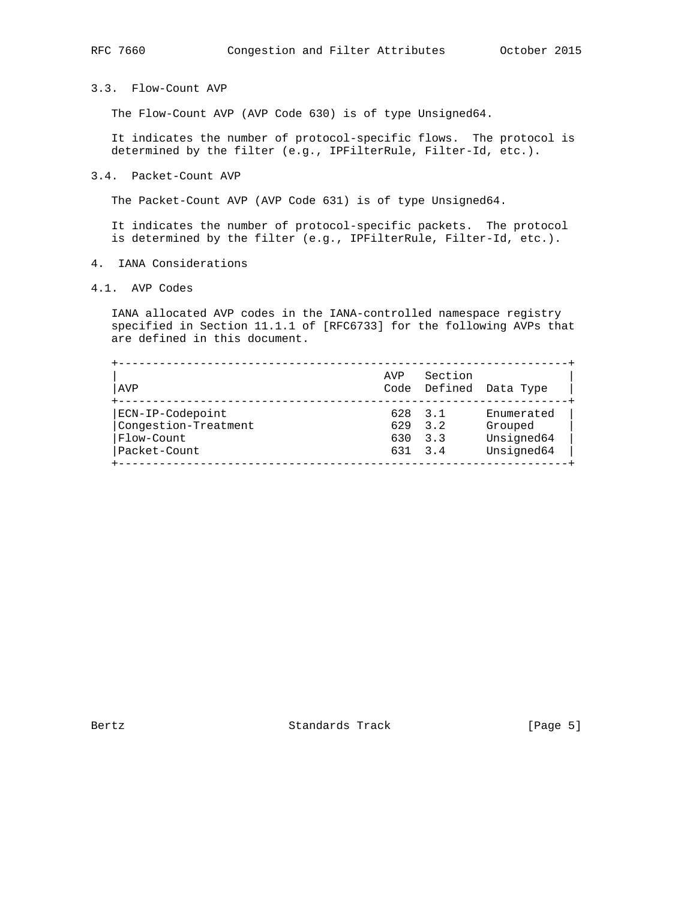# 3.3. Flow-Count AVP

The Flow-Count AVP (AVP Code 630) is of type Unsigned64.

 It indicates the number of protocol-specific flows. The protocol is determined by the filter (e.g., IPFilterRule, Filter-Id, etc.).

#### 3.4. Packet-Count AVP

The Packet-Count AVP (AVP Code 631) is of type Unsigned64.

 It indicates the number of protocol-specific packets. The protocol is determined by the filter (e.g., IPFilterRule, Filter-Id, etc.).

- 4. IANA Considerations
- 4.1. AVP Codes

 IANA allocated AVP codes in the IANA-controlled namespace registry specified in Section 11.1.1 of [RFC6733] for the following AVPs that are defined in this document.

| AVP                  | AVP     | Section                       | Code Defined Data Type |
|----------------------|---------|-------------------------------|------------------------|
| ECN-IP-Codepoint     | 628 3.1 |                               | Enumerated             |
| Congestion-Treatment | 629     | $\overline{3}$ $\overline{2}$ | Grouped                |
| Flow-Count           | 630     | 3.3                           | Unsigned64             |
| Packet-Count         |         | 631 3.4                       | Unsigned64             |

Bertz Standards Track [Page 5]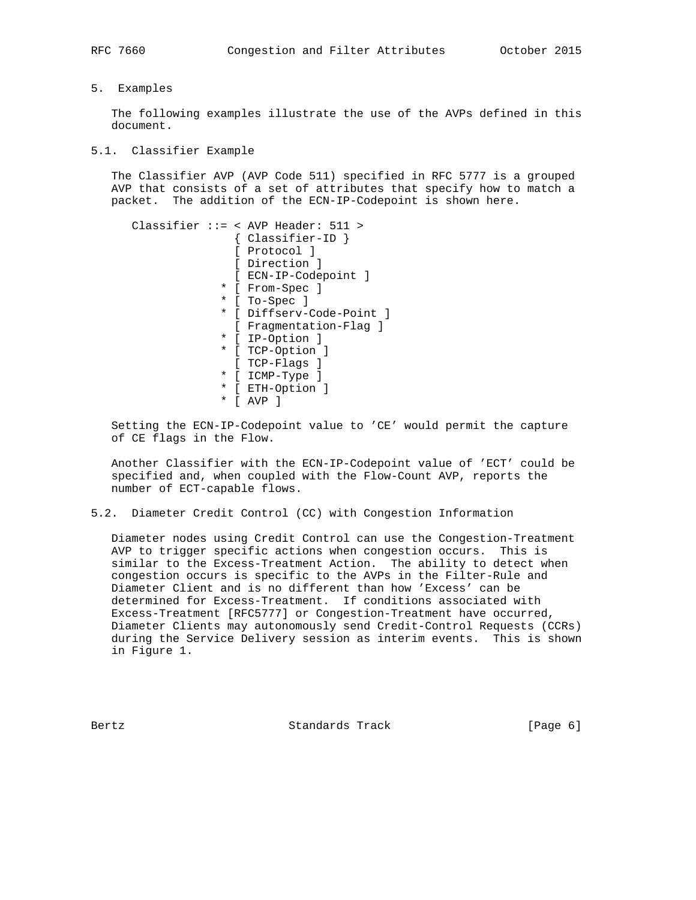### 5. Examples

 The following examples illustrate the use of the AVPs defined in this document.

#### 5.1. Classifier Example

 The Classifier AVP (AVP Code 511) specified in RFC 5777 is a grouped AVP that consists of a set of attributes that specify how to match a packet. The addition of the ECN-IP-Codepoint is shown here.

```
 Classifier ::= < AVP Header: 511 >
                { Classifier-ID }
                [ Protocol ]
                [ Direction ]
                [ ECN-IP-Codepoint ]
              * [ From-Spec ]
              * [ To-Spec ]
              * [ Diffserv-Code-Point ]
               [ Fragmentation-Flag ]
              * [ IP-Option ]
              * [ TCP-Option ]
               [ TCP-Flags ]
              * [ ICMP-Type ]
              * [ ETH-Option ]
              * [ AVP ]
```
 Setting the ECN-IP-Codepoint value to 'CE' would permit the capture of CE flags in the Flow.

 Another Classifier with the ECN-IP-Codepoint value of 'ECT' could be specified and, when coupled with the Flow-Count AVP, reports the number of ECT-capable flows.

5.2. Diameter Credit Control (CC) with Congestion Information

 Diameter nodes using Credit Control can use the Congestion-Treatment AVP to trigger specific actions when congestion occurs. This is similar to the Excess-Treatment Action. The ability to detect when congestion occurs is specific to the AVPs in the Filter-Rule and Diameter Client and is no different than how 'Excess' can be determined for Excess-Treatment. If conditions associated with Excess-Treatment [RFC5777] or Congestion-Treatment have occurred, Diameter Clients may autonomously send Credit-Control Requests (CCRs) during the Service Delivery session as interim events. This is shown in Figure 1.

Bertz Standards Track [Page 6]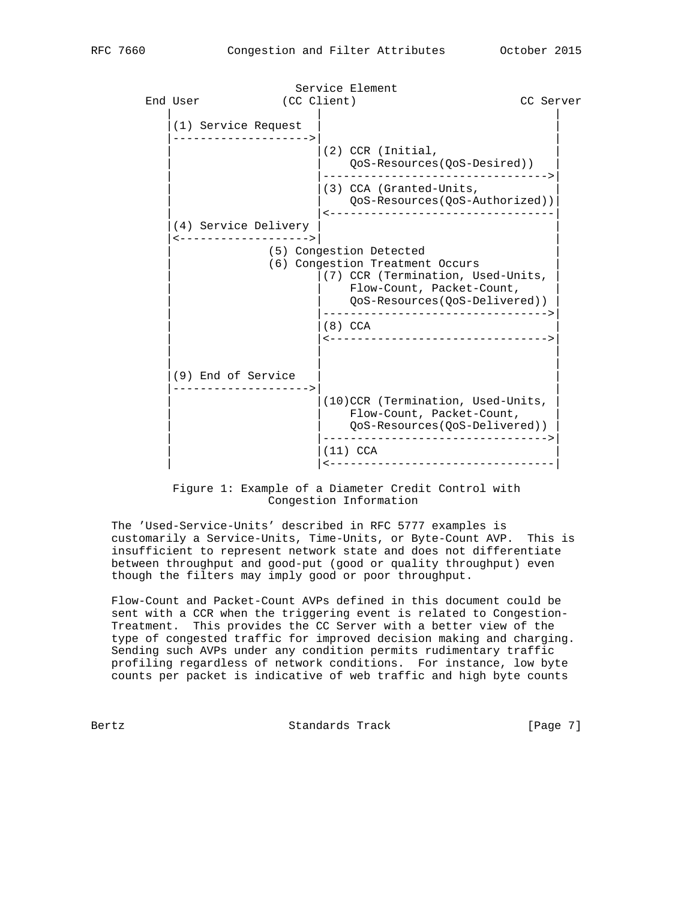Service Element End User (CC Client) CC Server | | | (1) Service Request |-------------------->| |  $|(2)$  CCR (Initial, | | QoS-Resources(QoS-Desired)) | | |--------------------------------->| | |(3) CCA (Granted-Units, | | | QoS-Resources(QoS-Authorized))| | |<---------------------------------| (4) Service Delivery |<------------------->| | (5) Congestion Detected | (6) Congestion Treatment Occurs | (7) CCR (Termination, Used-Units, Flow-Count, Packet-Count, | | QoS-Resources(QoS-Delivered)) | | |--------------------------------->| | |(8) CCA | | |<-------------------------------->| | | | | | | |(9) End of Service | | |-------------------->| | | |(10)CCR (Termination, Used-Units, | Flow-Count, Packet-Count, | | QoS-Resources(QoS-Delivered)) | | |--------------------------------->| (11) CCA | |<---------------------------------|

## Figure 1: Example of a Diameter Credit Control with Congestion Information

 The 'Used-Service-Units' described in RFC 5777 examples is customarily a Service-Units, Time-Units, or Byte-Count AVP. This is insufficient to represent network state and does not differentiate between throughput and good-put (good or quality throughput) even though the filters may imply good or poor throughput.

 Flow-Count and Packet-Count AVPs defined in this document could be sent with a CCR when the triggering event is related to Congestion- Treatment. This provides the CC Server with a better view of the type of congested traffic for improved decision making and charging. Sending such AVPs under any condition permits rudimentary traffic profiling regardless of network conditions. For instance, low byte counts per packet is indicative of web traffic and high byte counts

Bertz Standards Track [Page 7]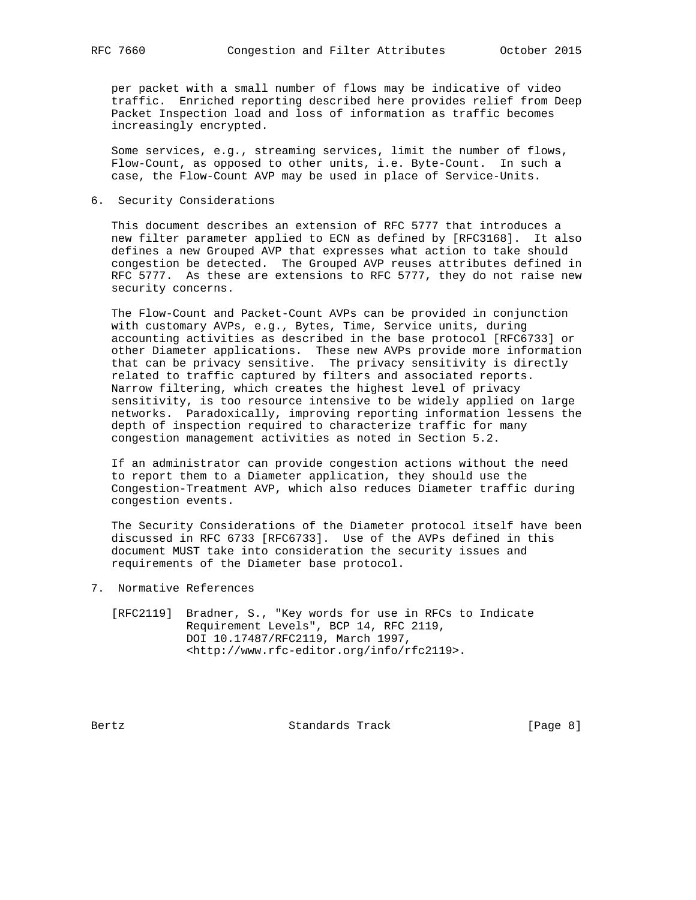per packet with a small number of flows may be indicative of video traffic. Enriched reporting described here provides relief from Deep Packet Inspection load and loss of information as traffic becomes increasingly encrypted.

 Some services, e.g., streaming services, limit the number of flows, Flow-Count, as opposed to other units, i.e. Byte-Count. In such a case, the Flow-Count AVP may be used in place of Service-Units.

6. Security Considerations

 This document describes an extension of RFC 5777 that introduces a new filter parameter applied to ECN as defined by [RFC3168]. It also defines a new Grouped AVP that expresses what action to take should congestion be detected. The Grouped AVP reuses attributes defined in RFC 5777. As these are extensions to RFC 5777, they do not raise new security concerns.

 The Flow-Count and Packet-Count AVPs can be provided in conjunction with customary AVPs, e.g., Bytes, Time, Service units, during accounting activities as described in the base protocol [RFC6733] or other Diameter applications. These new AVPs provide more information that can be privacy sensitive. The privacy sensitivity is directly related to traffic captured by filters and associated reports. Narrow filtering, which creates the highest level of privacy sensitivity, is too resource intensive to be widely applied on large networks. Paradoxically, improving reporting information lessens the depth of inspection required to characterize traffic for many congestion management activities as noted in Section 5.2.

 If an administrator can provide congestion actions without the need to report them to a Diameter application, they should use the Congestion-Treatment AVP, which also reduces Diameter traffic during congestion events.

 The Security Considerations of the Diameter protocol itself have been discussed in RFC 6733 [RFC6733]. Use of the AVPs defined in this document MUST take into consideration the security issues and requirements of the Diameter base protocol.

- 7. Normative References
	- [RFC2119] Bradner, S., "Key words for use in RFCs to Indicate Requirement Levels", BCP 14, RFC 2119, DOI 10.17487/RFC2119, March 1997, <http://www.rfc-editor.org/info/rfc2119>.

Bertz Standards Track [Page 8]